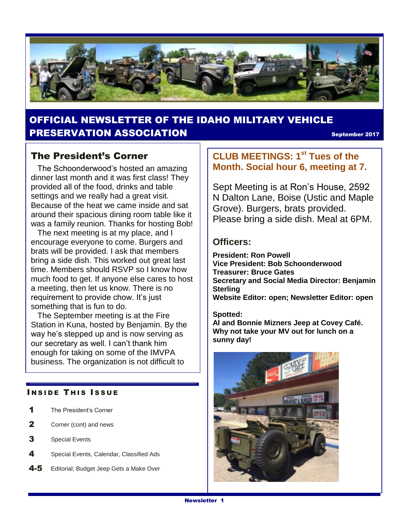

## OFFICIAL NEWSLETTER OF THE IDAHO MILITARY VEHICLE **PRESERVATION ASSOCIATION September 2017**

### The President's Corner

 The Schoonderwood's hosted an amazing dinner last month and it was first class! They provided all of the food, drinks and table settings and we really had a great visit. Because of the heat we came inside and sat around their spacious dining room table like it was a family reunion. Thanks for hosting Bob!

 The next meeting is at my place, and I encourage everyone to come. Burgers and brats will be provided. I ask that members bring a side dish. This worked out great last time. Members should RSVP so I know how much food to get. If anyone else cares to host a meeting, then let us know. There is no requirement to provide chow. It's just something that is fun to do.

 The September meeting is at the Fire Station in Kuna, hosted by Benjamin. By the way he's stepped up and is now serving as our secretary as well. I can't thank him enough for taking on some of the IMVPA business. The organization is not difficult to

#### **INSIDE THIS ISSUE**

- 1 The President's Corner
- 2 Corner (cont) and news
- 3 Special Events
- 4 Special Events, Calendar, Classified Ads
- 4-5 Editorial; Budget Jeep Gets a Make Over

### **CLUB MEETINGS: 1st Tues of the Month. Social hour 6, meeting at 7.**

Sept Meeting is at Ron's House, 2592 N Dalton Lane, Boise (Ustic and Maple Grove). Burgers, brats provided. Please bring a side dish. Meal at 6PM.

### **Officers:**

**President: Ron Powell Vice President: Bob Schoonderwood Treasurer: Bruce Gates Secretary and Social Media Director: Benjamin Sterling Website Editor: open; Newsletter Editor: open**

#### **Spotted:**

**Al and Bonnie Mizners Jeep at Covey Café. Why not take your MV out for lunch on a sunny day!**

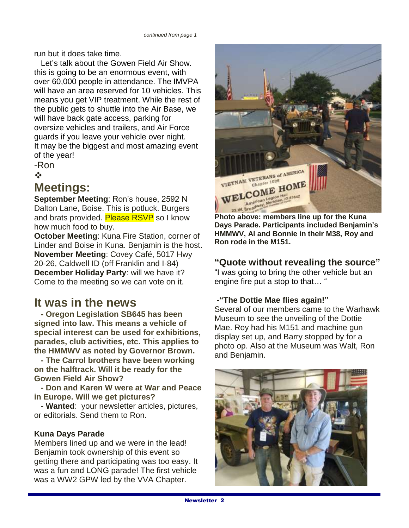run but it does take time.

 Let's talk about the Gowen Field Air Show. this is going to be an enormous event, with over 60,000 people in attendance. The IMVPA will have an area reserved for 10 vehicles. This means you get VIP treatment. While the rest of the public gets to shuttle into the Air Base, we will have back gate access, parking for oversize vehicles and trailers, and Air Force guards if you leave your vehicle over night. It may be the biggest and most amazing event of the year!

-Ron

 $\frac{1}{2}$ 

## **Meetings:**

**September Meeting**: Ron's house, 2592 N Dalton Lane, Boise. This is potluck. Burgers and brats provided. Please RSVP so I know how much food to buy.

**October Meeting**: Kuna Fire Station, corner of Linder and Boise in Kuna. Benjamin is the host. **November Meeting**: Covey Café, 5017 Hwy 20-26, Caldwell ID (off Franklin and I-84) **December Holiday Party**: will we have it? Come to the meeting so we can vote on it.

## **It was in the news**

 **- Oregon Legislation SB645 has been signed into law. This means a vehicle of special interest can be used for exhibitions, parades, club activities, etc. This applies to the HMMWV as noted by Governor Brown.** 

 **- The Carrol brothers have been working on the halftrack. Will it be ready for the Gowen Field Air Show?**

 **- Don and Karen W were at War and Peace in Europe. Will we get pictures?**

 - **Wanted**: your newsletter articles, pictures, or editorials. Send them to Ron.

### **Kuna Days Parade**

Members lined up and we were in the lead! Benjamin took ownership of this event so getting there and participating was too easy. It was a fun and LONG parade! The first vehicle was a WW2 GPW led by the VVA Chapter.



**Photo above: members line up for the Kuna Days Parade. Participants included Benjamin's HMMWV, Al and Bonnie in their M38, Roy and Ron rode in the M151.**

### **"Quote without revealing the source"**

"I was going to bring the other vehicle but an engine fire put a stop to that… "

#### **-"The Dottie Mae flies again!"**

Several of our members came to the Warhawk Museum to see the unveiling of the Dottie Mae. Roy had his M151 and machine gun display set up, and Barry stopped by for a photo op. Also at the Museum was Walt, Ron and Benjamin.

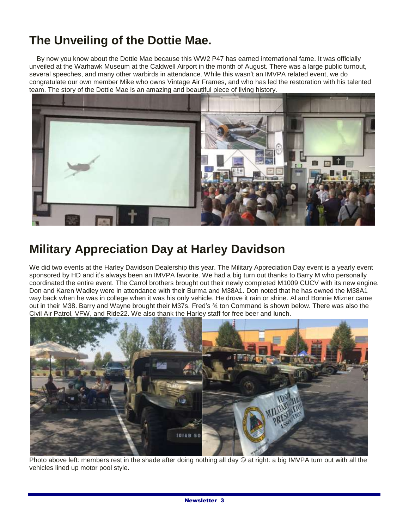# **The Unveiling of the Dottie Mae.**

 By now you know about the Dottie Mae because this WW2 P47 has earned international fame. It was officially unveiled at the Warhawk Museum at the Caldwell Airport in the month of August. There was a large public turnout, several speeches, and many other warbirds in attendance. While this wasn't an IMVPA related event, we do congratulate our own member Mike who owns Vintage Air Frames, and who has led the restoration with his talented team. The story of the Dottie Mae is an amazing and beautiful piece of living history.



## **Military Appreciation Day at Harley Davidson**

We did two events at the Harley Davidson Dealership this year. The Military Appreciation Day event is a yearly event sponsored by HD and it's always been an IMVPA favorite. We had a big turn out thanks to Barry M who personally coordinated the entire event. The Carrol brothers brought out their newly completed M1009 CUCV with its new engine. Don and Karen Wadley were in attendance with their Burma and M38A1. Don noted that he has owned the M38A1 way back when he was in college when it was his only vehicle. He drove it rain or shine. Al and Bonnie Mizner came out in their M38. Barry and Wayne brought their M37s. Fred's ¾ ton Command is shown below. There was also the Civil Air Patrol, VFW, and Ride22. We also thank the Harley staff for free beer and lunch.



Photo above left: members rest in the shade after doing nothing all day  $\odot$  at right: a big IMVPA turn out with all the vehicles lined up motor pool style.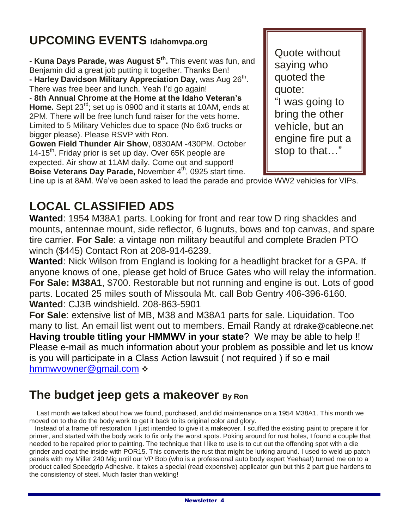# **UPCOMING EVENTS Idahomvpa.org**

**- Kuna Days Parade, was August 5th .** This event was fun, and Benjamin did a great job putting it together. Thanks Ben! **- Harley Davidson Military Appreciation Day**, was Aug 26<sup>th</sup>. There was free beer and lunch. Yeah I'd go again! - **8th Annual Chrome at the Home at the Idaho Veteran's Home.** Sept 23rd; set up is 0900 and it starts at 10AM, ends at 2PM. There will be free lunch fund raiser for the vets home. Limited to 5 Military Vehicles due to space (No 6x6 trucks or bigger please). Please RSVP with Ron. **Gowen Field Thunder Air Show**, 0830AM -430PM. October

14-15<sup>th</sup>. Friday prior is set up day. Over 65K people are expected. Air show at 11AM daily. Come out and support! **Boise Veterans Day Parade, November 4<sup>th</sup>, 0925 start time.**  Quote without saying who quoted the quote: "I was going to bring the other vehicle, but an engine fire put a stop to that…"

Line up is at 8AM. We've been asked to lead the parade and provide WW2 vehicles for VIPs.

# **LOCAL CLASSIFIED ADS**

**Wanted**: 1954 M38A1 parts. Looking for front and rear tow D ring shackles and mounts, antennae mount, side reflector, 6 lugnuts, bows and top canvas, and spare tire carrier. **For Sale**: a vintage non military beautiful and complete Braden PTO winch (\$445) Contact Ron at 208-914-6239.

**Wanted**: Nick Wilson from England is looking for a headlight bracket for a GPA. If anyone knows of one, please get hold of Bruce Gates who will relay the information. **For Sale: M38A1**, \$700. Restorable but not running and engine is out. Lots of good parts. Located 25 miles south of Missoula Mt. call Bob Gentry 406-396-6160. **Wanted**: CJ3B windshield. 208-863-5901

**For Sale**: extensive list of MB, M38 and M38A1 parts for sale. Liquidation. Too many to list. An email list went out to members. Email Randy at rdrake@cableone.net **Having trouble titling your HMMWV in your state**? We may be able to help !! Please e-mail as much information about your problem as possible and let us know is you will participate in a Class Action lawsuit ( not required ) if so e mail [hmmwvowner@gmail.com](mailto:hmmwvowner@gmail.com) :

# **The budget jeep gets a makeover By Ron**

 Last month we talked about how we found, purchased, and did maintenance on a 1954 M38A1. This month we moved on to the do the body work to get it back to its original color and glory.

 Instead of a frame off restoration I just intended to give it a makeover. I scuffed the existing paint to prepare it for primer, and started with the body work to fix only the worst spots. Poking around for rust holes, I found a couple that needed to be repaired prior to painting. The technique that I like to use is to cut out the offending spot with a die grinder and coat the inside with POR15. This converts the rust that might be lurking around. I used to weld up patch panels with my Miller 240 Mig until our VP Bob (who is a professional auto body expert Yeehaa!) turned me on to a product called Speedgrip Adhesive. It takes a special (read expensive) applicator gun but this 2 part glue hardens to the consistency of steel. Much faster than welding!